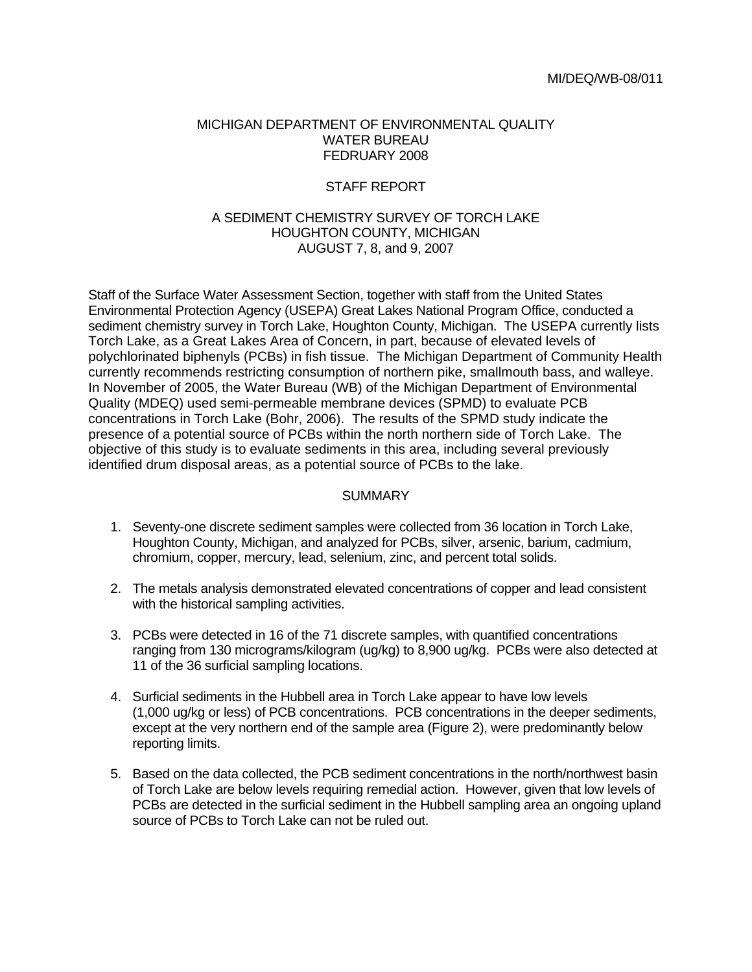#### MICHIGAN DEPARTMENT OF ENVIRONMENTAL QUALITY WATER BUREAU FEDRUARY 2008

# STAFF REPORT

### A SEDIMENT CHEMISTRY SURVEY OF TORCH LAKE HOUGHTON COUNTY, MICHIGAN AUGUST 7, 8, and 9, 2007

Staff of the Surface Water Assessment Section, together with staff from the United States Environmental Protection Agency (USEPA) Great Lakes National Program Office, conducted a sediment chemistry survey in Torch Lake, Houghton County, Michigan. The USEPA currently lists Torch Lake, as a Great Lakes Area of Concern, in part, because of elevated levels of polychlorinated biphenyls (PCBs) in fish tissue. The Michigan Department of Community Health currently recommends restricting consumption of northern pike, smallmouth bass, and walleye. In November of 2005, the Water Bureau (WB) of the Michigan Department of Environmental Quality (MDEQ) used semi-permeable membrane devices (SPMD) to evaluate PCB concentrations in Torch Lake (Bohr, 2006). The results of the SPMD study indicate the presence of a potential source of PCBs within the north northern side of Torch Lake. The objective of this study is to evaluate sediments in this area, including several previously identified drum disposal areas, as a potential source of PCBs to the lake.

### SUMMARY

- 1. Seventy-one discrete sediment samples were collected from 36 location in Torch Lake, Houghton County, Michigan, and analyzed for PCBs, silver, arsenic, barium, cadmium, chromium, copper, mercury, lead, selenium, zinc, and percent total solids.
- 2. The metals analysis demonstrated elevated concentrations of copper and lead consistent with the historical sampling activities.
- 3. PCBs were detected in 16 of the 71 discrete samples, with quantified concentrations ranging from 130 micrograms/kilogram (ug/kg) to 8,900 ug/kg. PCBs were also detected at 11 of the 36 surficial sampling locations.
- 4. Surficial sediments in the Hubbell area in Torch Lake appear to have low levels (1,000 ug/kg or less) of PCB concentrations. PCB concentrations in the deeper sediments, except at the very northern end of the sample area (Figure 2), were predominantly below reporting limits.
- 5. Based on the data collected, the PCB sediment concentrations in the north/northwest basin of Torch Lake are below levels requiring remedial action. However, given that low levels of PCBs are detected in the surficial sediment in the Hubbell sampling area an ongoing upland source of PCBs to Torch Lake can not be ruled out.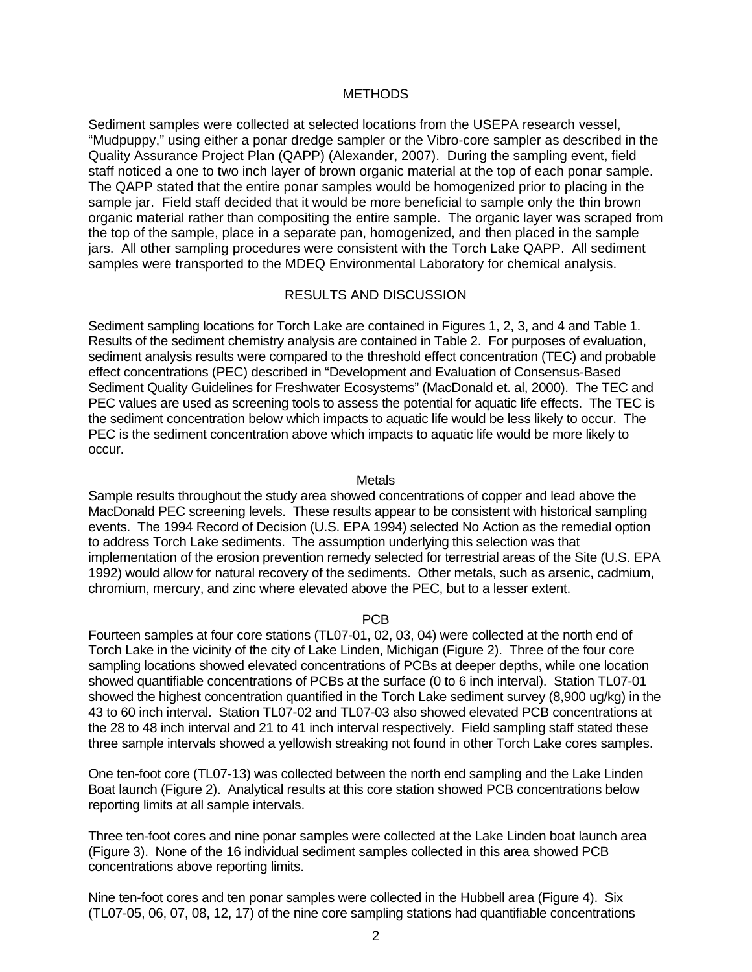## **METHODS**

Sediment samples were collected at selected locations from the USEPA research vessel, "Mudpuppy," using either a ponar dredge sampler or the Vibro-core sampler as described in the Quality Assurance Project Plan (QAPP) (Alexander, 2007). During the sampling event, field staff noticed a one to two inch layer of brown organic material at the top of each ponar sample. The QAPP stated that the entire ponar samples would be homogenized prior to placing in the sample jar. Field staff decided that it would be more beneficial to sample only the thin brown organic material rather than compositing the entire sample. The organic layer was scraped from the top of the sample, place in a separate pan, homogenized, and then placed in the sample jars. All other sampling procedures were consistent with the Torch Lake QAPP. All sediment samples were transported to the MDEQ Environmental Laboratory for chemical analysis.

## RESULTS AND DISCUSSION

Sediment sampling locations for Torch Lake are contained in Figures 1, 2, 3, and 4 and Table 1. Results of the sediment chemistry analysis are contained in Table 2. For purposes of evaluation, sediment analysis results were compared to the threshold effect concentration (TEC) and probable effect concentrations (PEC) described in "Development and Evaluation of Consensus-Based Sediment Quality Guidelines for Freshwater Ecosystems" (MacDonald et. al, 2000). The TEC and PEC values are used as screening tools to assess the potential for aquatic life effects. The TEC is the sediment concentration below which impacts to aquatic life would be less likely to occur. The PEC is the sediment concentration above which impacts to aquatic life would be more likely to occur.

**Metals** 

Sample results throughout the study area showed concentrations of copper and lead above the MacDonald PEC screening levels. These results appear to be consistent with historical sampling events. The 1994 Record of Decision (U.S. EPA 1994) selected No Action as the remedial option to address Torch Lake sediments. The assumption underlying this selection was that implementation of the erosion prevention remedy selected for terrestrial areas of the Site (U.S. EPA 1992) would allow for natural recovery of the sediments. Other metals, such as arsenic, cadmium, chromium, mercury, and zinc where elevated above the PEC, but to a lesser extent.

### PCB

Fourteen samples at four core stations (TL07-01, 02, 03, 04) were collected at the north end of Torch Lake in the vicinity of the city of Lake Linden, Michigan (Figure 2). Three of the four core sampling locations showed elevated concentrations of PCBs at deeper depths, while one location showed quantifiable concentrations of PCBs at the surface (0 to 6 inch interval). Station TL07-01 showed the highest concentration quantified in the Torch Lake sediment survey (8,900 ug/kg) in the 43 to 60 inch interval. Station TL07-02 and TL07-03 also showed elevated PCB concentrations at the 28 to 48 inch interval and 21 to 41 inch interval respectively. Field sampling staff stated these three sample intervals showed a yellowish streaking not found in other Torch Lake cores samples.

One ten-foot core (TL07-13) was collected between the north end sampling and the Lake Linden Boat launch (Figure 2). Analytical results at this core station showed PCB concentrations below reporting limits at all sample intervals.

Three ten-foot cores and nine ponar samples were collected at the Lake Linden boat launch area (Figure 3). None of the 16 individual sediment samples collected in this area showed PCB concentrations above reporting limits.

Nine ten-foot cores and ten ponar samples were collected in the Hubbell area (Figure 4). Six (TL07-05, 06, 07, 08, 12, 17) of the nine core sampling stations had quantifiable concentrations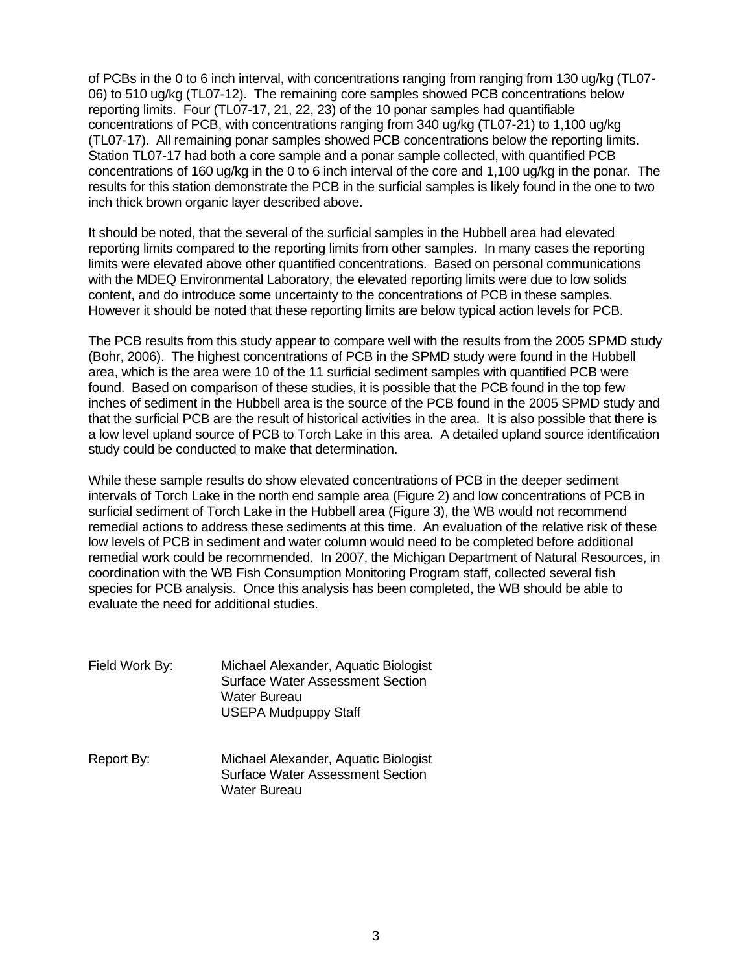of PCBs in the 0 to 6 inch interval, with concentrations ranging from ranging from 130 ug/kg (TL07- 06) to 510 ug/kg (TL07-12). The remaining core samples showed PCB concentrations below reporting limits. Four (TL07-17, 21, 22, 23) of the 10 ponar samples had quantifiable concentrations of PCB, with concentrations ranging from 340 ug/kg (TL07-21) to 1,100 ug/kg (TL07-17). All remaining ponar samples showed PCB concentrations below the reporting limits. Station TL07-17 had both a core sample and a ponar sample collected, with quantified PCB concentrations of 160 ug/kg in the 0 to 6 inch interval of the core and 1,100 ug/kg in the ponar. The results for this station demonstrate the PCB in the surficial samples is likely found in the one to two inch thick brown organic layer described above.

It should be noted, that the several of the surficial samples in the Hubbell area had elevated reporting limits compared to the reporting limits from other samples. In many cases the reporting limits were elevated above other quantified concentrations. Based on personal communications with the MDEQ Environmental Laboratory, the elevated reporting limits were due to low solids content, and do introduce some uncertainty to the concentrations of PCB in these samples. However it should be noted that these reporting limits are below typical action levels for PCB.

The PCB results from this study appear to compare well with the results from the 2005 SPMD study (Bohr, 2006). The highest concentrations of PCB in the SPMD study were found in the Hubbell area, which is the area were 10 of the 11 surficial sediment samples with quantified PCB were found. Based on comparison of these studies, it is possible that the PCB found in the top few inches of sediment in the Hubbell area is the source of the PCB found in the 2005 SPMD study and that the surficial PCB are the result of historical activities in the area. It is also possible that there is a low level upland source of PCB to Torch Lake in this area. A detailed upland source identification study could be conducted to make that determination.

While these sample results do show elevated concentrations of PCB in the deeper sediment intervals of Torch Lake in the north end sample area (Figure 2) and low concentrations of PCB in surficial sediment of Torch Lake in the Hubbell area (Figure 3), the WB would not recommend remedial actions to address these sediments at this time. An evaluation of the relative risk of these low levels of PCB in sediment and water column would need to be completed before additional remedial work could be recommended. In 2007, the Michigan Department of Natural Resources, in coordination with the WB Fish Consumption Monitoring Program staff, collected several fish species for PCB analysis. Once this analysis has been completed, the WB should be able to evaluate the need for additional studies.

- Field Work By: Michael Alexander, Aquatic Biologist Surface Water Assessment Section Water Bureau USEPA Mudpuppy Staff
- Report By: Michael Alexander, Aquatic Biologist Surface Water Assessment Section Water Bureau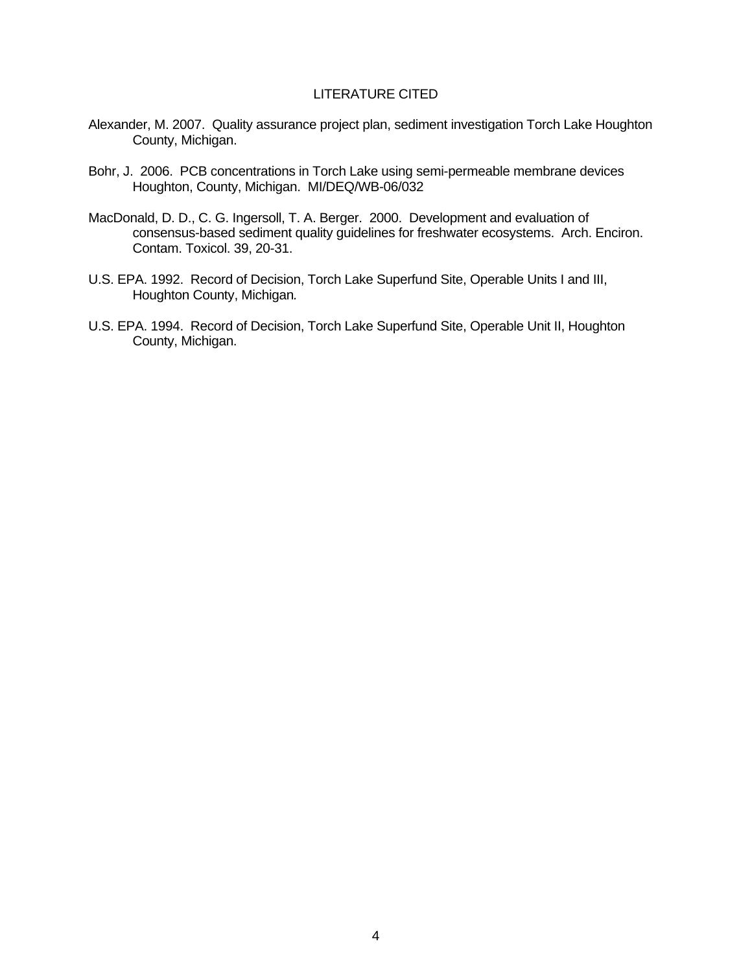### LITERATURE CITED

- Alexander, M. 2007. Quality assurance project plan, sediment investigation Torch Lake Houghton County, Michigan.
- Bohr, J. 2006. PCB concentrations in Torch Lake using semi-permeable membrane devices Houghton, County, Michigan. MI/DEQ/WB-06/032
- MacDonald, D. D., C. G. Ingersoll, T. A. Berger. 2000. Development and evaluation of consensus-based sediment quality guidelines for freshwater ecosystems. Arch. Enciron. Contam. Toxicol. 39, 20-31.
- U.S. EPA. 1992. Record of Decision, Torch Lake Superfund Site, Operable Units I and III, Houghton County, Michigan*.*
- U.S. EPA. 1994. Record of Decision, Torch Lake Superfund Site, Operable Unit II, Houghton County, Michigan.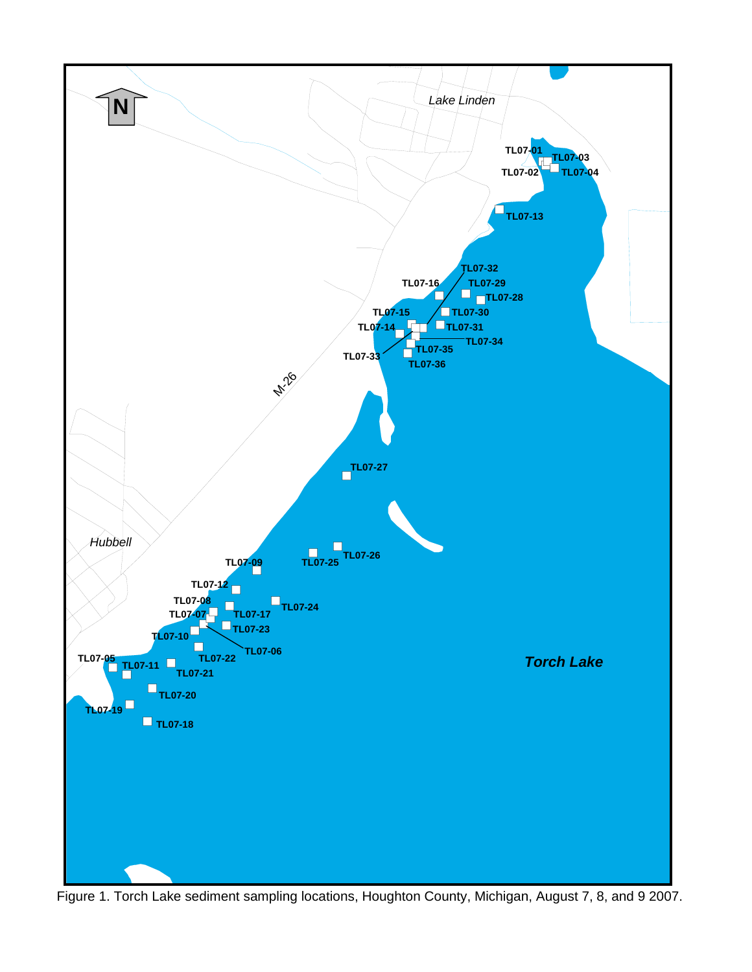

Figure 1. Torch Lake sediment sampling locations, Houghton County, Michigan, August 7, 8, and 9 2007.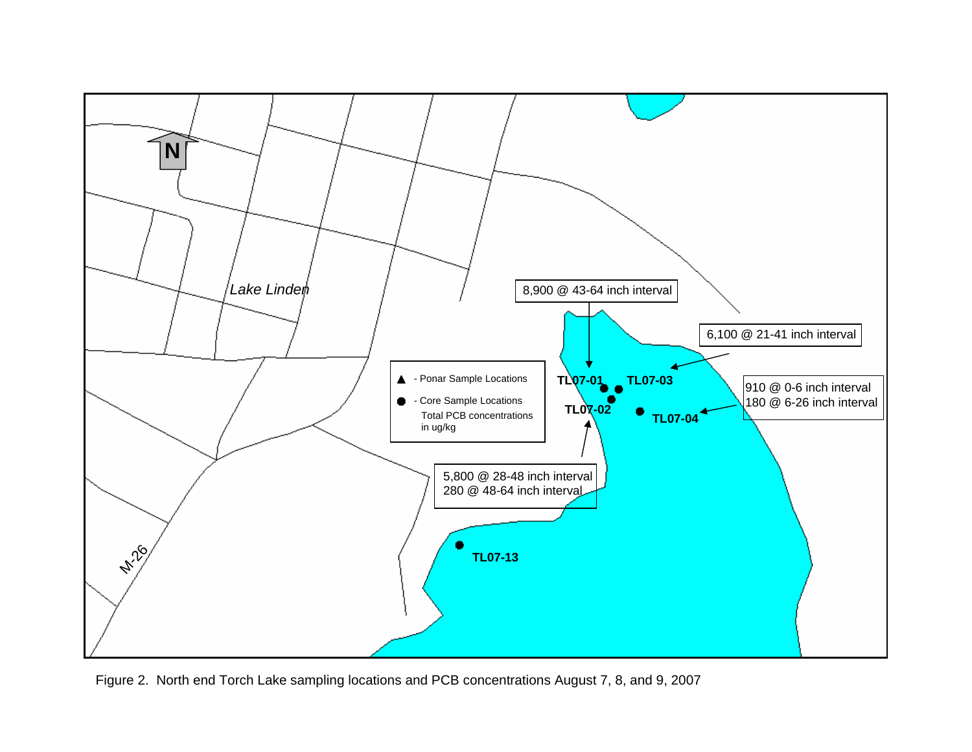

Figure 2. North end Torch Lake sampling locations and PCB concentrations August 7, 8, and 9, 2007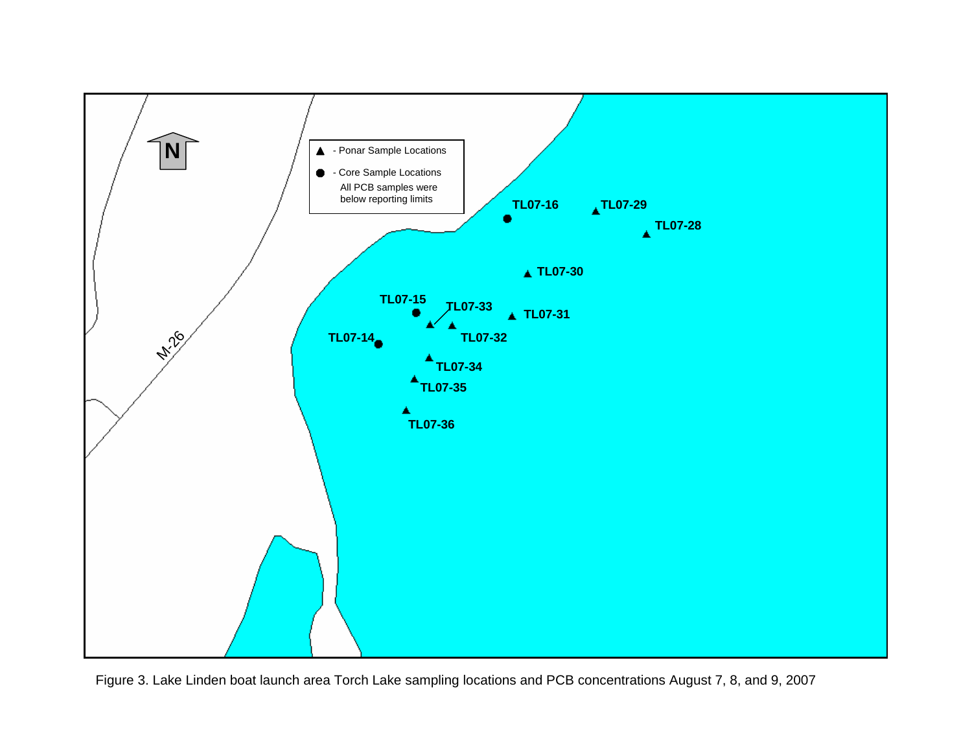

Figure 3. Lake Linden boat launch area Torch Lake sampling locations and PCB concentrations August 7, 8, and 9, 2007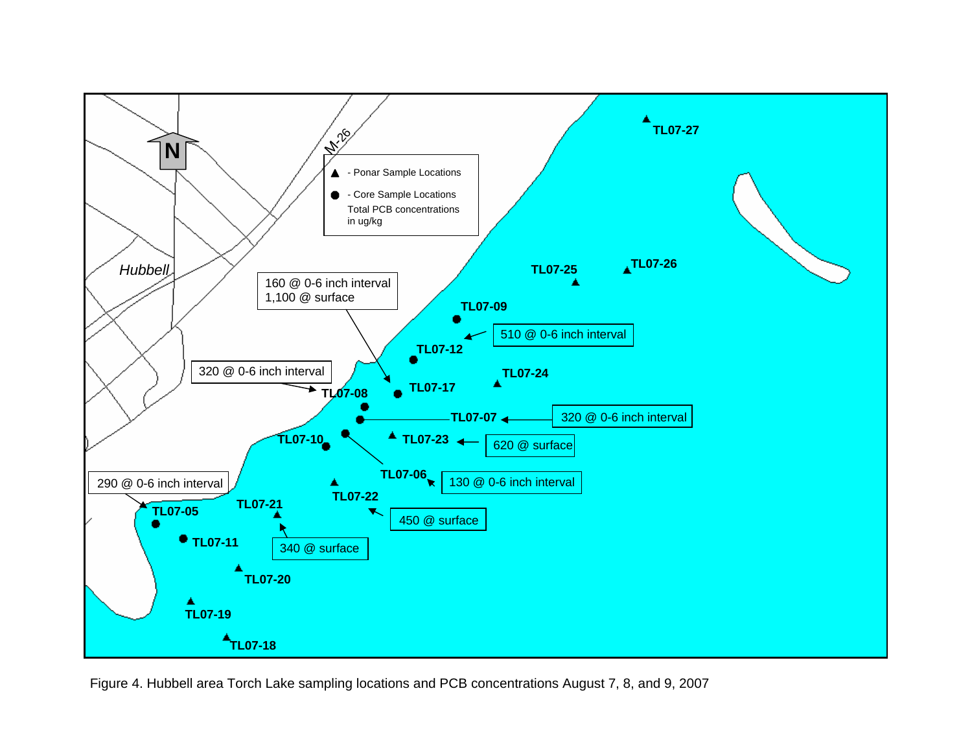

Figure 4. Hubbell area Torch Lake sampling locations and PCB concentrations August 7, 8, and 9, 2007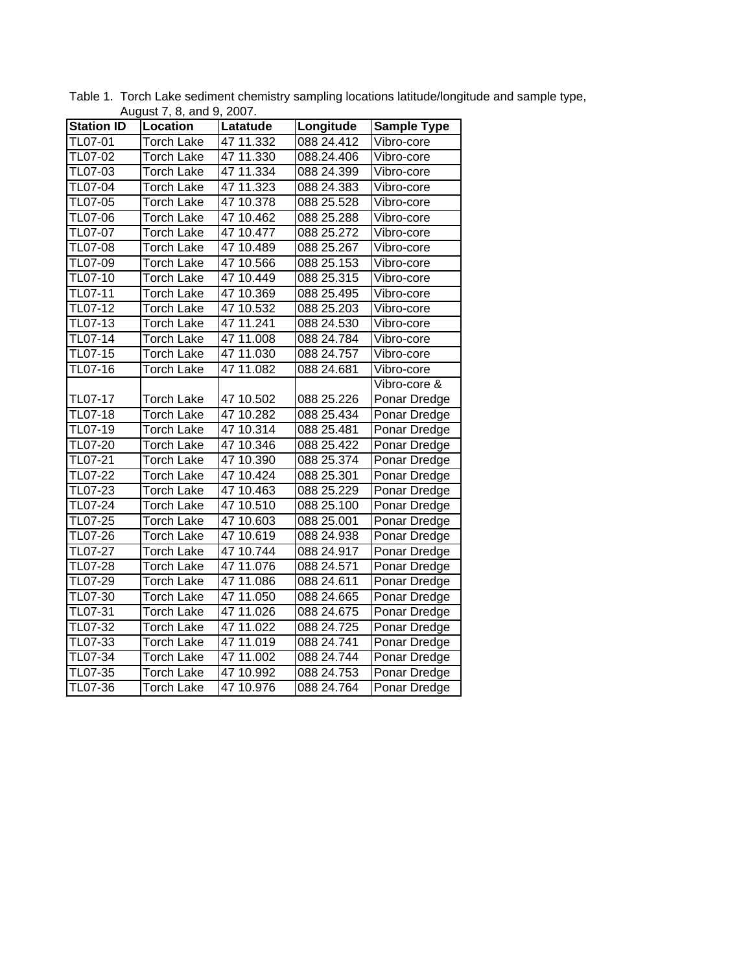| <b>Station ID</b> | August $r$ , o, and $\theta$ , 2007.<br><b>Location</b> | Latatude     | Longitude  | <b>Sample Type</b> |  |  |
|-------------------|---------------------------------------------------------|--------------|------------|--------------------|--|--|
| TL07-01           | Torch Lake                                              | 47 11.332    | 088 24.412 | Vibro-core         |  |  |
| TL07-02           | Torch Lake                                              | 47 11.330    | 088.24.406 | Vibro-core         |  |  |
| TL07-03           | Torch Lake                                              | 47 11.334    | 088 24.399 | Vibro-core         |  |  |
| TL07-04           | <b>Torch Lake</b>                                       | 47 11.323    | 088 24.383 |                    |  |  |
|                   |                                                         |              |            | Vibro-core         |  |  |
| TL07-05           | <b>Torch Lake</b>                                       | 47 10.378    | 088 25.528 | Vibro-core         |  |  |
| TL07-06           | <b>Torch Lake</b>                                       | 47 10.462    | 088 25.288 | Vibro-core         |  |  |
| TL07-07           | <b>Torch Lake</b>                                       | 47 10.477    | 088 25.272 | Vibro-core         |  |  |
| TL07-08           | <b>Torch Lake</b>                                       | 47 10.489    | 088 25.267 | Vibro-core         |  |  |
| TL07-09           | <b>Torch Lake</b>                                       | 47 10.566    | 088 25.153 | Vibro-core         |  |  |
| TL07-10           | Torch Lake                                              | 47 10.449    | 088 25.315 | Vibro-core         |  |  |
| TL07-11           | Torch Lake                                              | 47 10.369    | 088 25.495 | Vibro-core         |  |  |
| $TL07-12$         | Torch Lake                                              | 47 10.532    | 088 25.203 | Vibro-core         |  |  |
| TL07-13           | <b>Torch Lake</b>                                       | 47 11.241    | 088 24.530 | Vibro-core         |  |  |
| TL07-14           | <b>Torch Lake</b>                                       | 47 11.008    | 088 24.784 | Vibro-core         |  |  |
| TL07-15           | <b>Torch Lake</b>                                       | 47 11.030    | 088 24.757 | Vibro-core         |  |  |
| TL07-16           | <b>Torch Lake</b>                                       | 47 11.082    | 088 24.681 | Vibro-core         |  |  |
|                   |                                                         |              |            | Vibro-core &       |  |  |
| TL07-17           | Torch Lake                                              | 47 10.502    | 088 25.226 | Ponar Dredge       |  |  |
| TL07-18           | Torch Lake                                              | 47 10.282    | 088 25.434 | Ponar Dredge       |  |  |
| TL07-19           | <b>Torch Lake</b>                                       | 47 10.314    | 088 25.481 | Ponar Dredge       |  |  |
| TL07-20           | Torch Lake                                              | 47 10.346    | 088 25.422 | Ponar Dredge       |  |  |
| TL07-21           | <b>Torch Lake</b>                                       | 47 10.390    | 088 25.374 | Ponar Dredge       |  |  |
| <b>TL07-22</b>    | <b>Torch Lake</b>                                       | 47 10.424    | 088 25.301 | Ponar Dredge       |  |  |
| TL07-23           | <b>Torch Lake</b>                                       | 47 10.463    | 088 25.229 | Ponar Dredge       |  |  |
| $TL07-24$         | <b>Torch Lake</b>                                       | 47 10.510    | 088 25.100 | Ponar Dredge       |  |  |
| TL07-25           | <b>Torch Lake</b>                                       | 47 10.603    | 088 25.001 | Ponar Dredge       |  |  |
| TL07-26           | Torch Lake                                              | 47 10.619    | 088 24.938 | Ponar Dredge       |  |  |
| TL07-27           | Torch Lake                                              | 47 10.744    | 088 24.917 | Ponar Dredge       |  |  |
| TL07-28           | <b>Torch Lake</b>                                       | 11.076<br>47 | 088 24.571 | Ponar Dredge       |  |  |
| $TL07-29$         | <b>Torch Lake</b>                                       | 47 11.086    | 088 24.611 | Ponar Dredge       |  |  |
| TL07-30           | <b>Torch Lake</b>                                       | 47 11.050    | 088 24.665 | Ponar Dredge       |  |  |
| TL07-31           | <b>Torch Lake</b>                                       | 47 11.026    | 088 24.675 | Ponar Dredge       |  |  |
| $TL07-32$         | <b>Torch Lake</b>                                       | 47 11.022    | 088 24.725 | Ponar Dredge       |  |  |
| $TL07-33$         | Torch Lake                                              | 47 11.019    | 088 24.741 | Ponar Dredge       |  |  |
| TL07-34           | Torch Lake                                              | 47 11.002    | 088 24.744 | Ponar Dredge       |  |  |
| TL07-35           | Torch Lake                                              | 47 10.992    | 088 24.753 | Ponar Dredge       |  |  |
| TL07-36           | <b>Torch Lake</b>                                       | 47 10.976    | 088 24.764 | Ponar Dredge       |  |  |

Table 1. Torch Lake sediment chemistry sampling locations latitude/longitude and sample type, August 7, 8, and 9, 2007.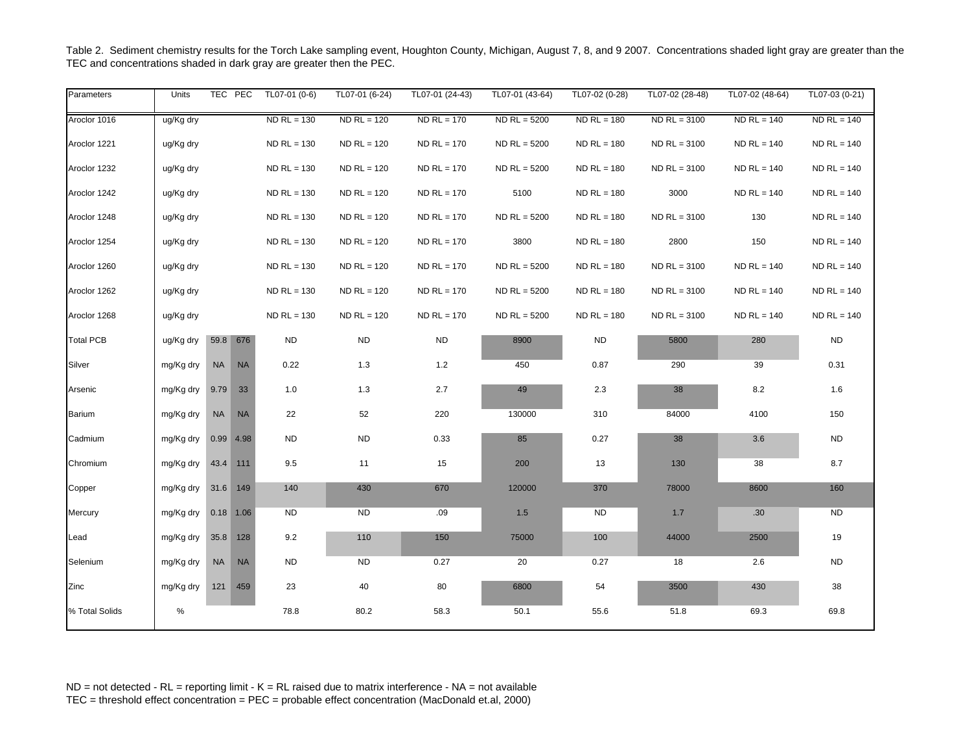| Parameters       | Units     |           | TEC PEC     | TL07-01 (0-6) | $TL07-01(6-24)$ | TL07-01 (24-43) | TL07-01 (43-64) | TL07-02 (0-28) | TL07-02 (28-48) | TL07-02 (48-64) | TL07-03 (0-21) |
|------------------|-----------|-----------|-------------|---------------|-----------------|-----------------|-----------------|----------------|-----------------|-----------------|----------------|
| Aroclor 1016     | ug/Kg dry |           |             | $ND$ RL = 130 | $ND$ RL = 120   | $ND$ RL = 170   | $ND$ RL = 5200  | $ND$ RL = 180  | $ND$ RL = 3100  | $ND$ RL = 140   | $ND$ RL = 140  |
| Aroclor 1221     | ug/Kg dry |           |             | $ND$ RL = 130 | $ND$ RL = 120   | $ND$ RL = 170   | $ND$ RL = 5200  | $ND$ RL = 180  | $ND$ RL = 3100  | $ND$ RL = 140   | $ND$ RL = 140  |
| Aroclor 1232     | ug/Kg dry |           |             | $ND$ RL = 130 | $ND$ RL = 120   | $ND$ RL = 170   | $ND$ RL = 5200  | $ND$ RL = 180  | $ND$ RL = 3100  | $ND$ RL = 140   | $ND$ RL = 140  |
| Aroclor 1242     | ug/Kg dry |           |             | $ND$ RL = 130 | $ND$ RL = 120   | $ND$ RL = 170   | 5100            | $ND RL = 180$  | 3000            | $ND$ RL = 140   | $ND RL = 140$  |
| Aroclor 1248     | ug/Kg dry |           |             | $ND$ RL = 130 | $ND$ RL = 120   | $ND$ RL = 170   | $ND$ RL = 5200  | $ND$ RL = 180  | $ND$ RL = 3100  | 130             | $ND$ RL = 140  |
| Aroclor 1254     | ug/Kg dry |           |             | $ND$ RL = 130 | $ND$ RL = 120   | $ND$ RL = 170   | 3800            | $ND$ RL = 180  | 2800            | 150             | $ND$ RL = 140  |
| Aroclor 1260     | ug/Kg dry |           |             | $ND$ RL = 130 | $ND$ RL = 120   | $ND$ RL = 170   | $ND$ RL = 5200  | $ND$ RL = 180  | $ND$ RL = 3100  | $ND$ RL = 140   | $ND$ RL = 140  |
| Aroclor 1262     | ug/Kg dry |           |             | $ND$ RL = 130 | $ND$ RL = 120   | $ND$ RL = 170   | $ND$ RL = 5200  | $ND$ RL = 180  | $ND$ RL = 3100  | $ND$ RL = 140   | $ND$ RL = 140  |
| Aroclor 1268     | ug/Kg dry |           |             | $ND$ RL = 130 | $ND$ RL = 120   | $ND$ RL = 170   | $ND$ RL = 5200  | $NDRL = 180$   | $ND$ RL = 3100  | $ND$ RL = 140   | $ND$ RL = 140  |
| <b>Total PCB</b> | ug/Kg dry |           | 59.8 676    | <b>ND</b>     | <b>ND</b>       | <b>ND</b>       | 8900            | ${\sf ND}$     | 5800            | 280             | $\sf ND$       |
| Silver           | mg/Kg dry | <b>NA</b> | <b>NA</b>   | 0.22          | 1.3             | $1.2$           | 450             | 0.87           | 290             | 39              | 0.31           |
| Arsenic          | mg/Kg dry | 9.79      | 33          | 1.0           | 1.3             | 2.7             | 49              | 2.3            | 38              | 8.2             | 1.6            |
| <b>Barium</b>    | mg/Kg dry | <b>NA</b> | <b>NA</b>   | 22            | 52              | 220             | 130000          | 310            | 84000           | 4100            | 150            |
| Cadmium          | mg/Kg dry |           | 0.99 4.98   | <b>ND</b>     | <b>ND</b>       | 0.33            | 85              | 0.27           | 38              | 3.6             | $\sf ND$       |
| Chromium         | mg/Kg dry |           | 43.4 111    | 9.5           | 11              | 15              | 200             | 13             | 130             | 38              | 8.7            |
| Copper           | mg/Kg dry | 31.6 149  |             | 140           | 430             | 670             | 120000          | 370            | 78000           | 8600            | 160            |
| Mercury          | mg/Kg dry |           | $0.18$ 1.06 | <b>ND</b>     | <b>ND</b>       | .09             | 1.5             | <b>ND</b>      | 1.7             | .30             | <b>ND</b>      |
| Lead             | mg/Kg dry |           | 35.8 128    | 9.2           | 110             | 150             | 75000           | 100            | 44000           | 2500            | 19             |
| Selenium         | mg/Kg dry | <b>NA</b> | <b>NA</b>   | ND.           | <b>ND</b>       | 0.27            | 20              | 0.27           | 18              | 2.6             | <b>ND</b>      |
| Zinc             | mg/Kg dry |           | 121 459     | 23            | 40              | 80              | 6800            | 54             | 3500            | 430             | $38\,$         |
| % Total Solids   | %         |           |             | 78.8          | 80.2            | 58.3            | 50.1            | 55.6           | 51.8            | 69.3            | 69.8           |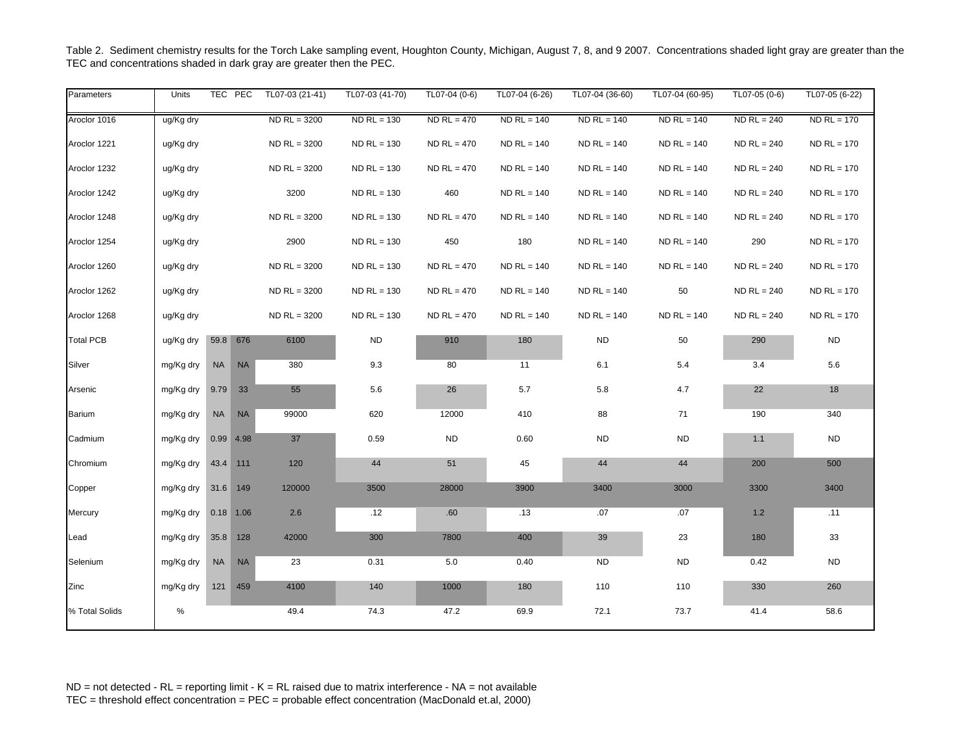| Parameters       | Units     |           | TEC PEC     | TL07-03 (21-41) | TL07-03 (41-70) | TL07-04 (0-6) | TL07-04 (6-26) | TL07-04 (36-60) | TL07-04 (60-95) | TL07-05 (0-6) | TL07-05 (6-22) |
|------------------|-----------|-----------|-------------|-----------------|-----------------|---------------|----------------|-----------------|-----------------|---------------|----------------|
| Aroclor 1016     | ug/Kg dry |           |             | $ND$ RL = 3200  | $ND$ RL = 130   | $ND$ RL = 470 | $NDRL = 140$   | $ND$ RL = 140   | $ND$ RL = 140   | $ND$ RL = 240 | $ND$ RL = 170  |
| Aroclor 1221     | ug/Kg dry |           |             | $ND$ RL = 3200  | $ND$ RL = 130   | $ND$ RL = 470 | $ND$ RL = 140  | $ND$ RL = 140   | $ND$ RL = 140   | $ND$ RL = 240 | $ND$ RL = 170  |
| Aroclor 1232     | ug/Kg dry |           |             | $ND$ RL = 3200  | $ND$ RL = 130   | $ND$ RL = 470 | $ND$ RL = 140  | $ND$ RL = 140   | $ND$ RL = 140   | $ND$ RL = 240 | $ND$ RL = 170  |
| Aroclor 1242     | ug/Kg dry |           |             | 3200            | $ND$ RL = 130   | 460           | $ND$ RL = 140  | $ND$ RL = 140   | $ND$ RL = 140   | $ND$ RL = 240 | $ND$ RL = 170  |
| Aroclor 1248     | ug/Kg dry |           |             | $ND$ RL = 3200  | $ND$ RL = 130   | $ND$ RL = 470 | $ND$ RL = 140  | $ND$ RL = 140   | $ND$ RL = 140   | $ND$ RL = 240 | $ND$ RL = 170  |
| Aroclor 1254     | ug/Kg dry |           |             | 2900            | $ND$ RL = 130   | 450           | 180            | $ND$ RL = 140   | $ND$ RL = 140   | 290           | $ND$ RL = 170  |
| Aroclor 1260     | ug/Kg dry |           |             | $ND$ RL = 3200  | $ND$ RL = 130   | $ND$ RL = 470 | $ND$ RL = 140  | $ND$ RL = 140   | $ND$ RL = 140   | $ND$ RL = 240 | $ND$ RL = 170  |
| Aroclor 1262     | ug/Kg dry |           |             | $ND$ RL = 3200  | $ND$ RL = 130   | $ND$ RL = 470 | $ND$ RL = 140  | $ND$ RL = 140   | 50              | $ND$ RL = 240 | $ND$ RL = 170  |
| Aroclor 1268     | ug/Kg dry |           |             | $ND$ RL = 3200  | $ND$ RL = 130   | $ND$ RL = 470 | $ND$ RL = 140  | $ND$ RL = 140   | $ND$ RL = 140   | $ND$ RL = 240 | $ND$ RL = 170  |
| <b>Total PCB</b> | ug/Kg dry | 59.8 676  |             | 6100            | <b>ND</b>       | 910           | 180            | <b>ND</b>       | 50              | 290           | <b>ND</b>      |
| Silver           | mg/Kg dry | <b>NA</b> | <b>NA</b>   | 380             | 9.3             | 80            | 11             | 6.1             | 5.4             | 3.4           | 5.6            |
| Arsenic          | mg/Kg dry | 9.79      | 33          | 55              | 5.6             | 26            | 5.7            | 5.8             | 4.7             | 22            | 18             |
| Barium           | mg/Kg dry | NA        | <b>NA</b>   | 99000           | 620             | 12000         | 410            | 88              | 71              | 190           | 340            |
| Cadmium          | mg/Kg dry |           | $0.99$ 4.98 | 37              | 0.59            | <b>ND</b>     | 0.60           | <b>ND</b>       | <b>ND</b>       | 1.1           | <b>ND</b>      |
| Chromium         | mg/Kg dry | 43.4 111  |             | 120             | 44              | 51            | 45             | 44              | 44              | 200           | 500            |
| Copper           | mg/Kg dry | 31.6 149  |             | 120000          | 3500            | 28000         | 3900           | 3400            | 3000            | 3300          | 3400           |
| Mercury          | mg/Kg dry |           | $0.18$ 1.06 | 2.6             | .12             | .60           | .13            | .07             | .07             | 1.2           | .11            |
| Lead             | mg/Kg dry | 35.8 128  |             | 42000           | 300             | 7800          | 400            | 39              | 23              | 180           | 33             |
| Selenium         | mg/Kg dry | <b>NA</b> | <b>NA</b>   | 23              | 0.31            | 5.0           | 0.40           | <b>ND</b>       | <b>ND</b>       | 0.42          | <b>ND</b>      |
| Zinc             | mg/Kg dry |           | 121 459     | 4100            | 140             | 1000          | 180            | 110             | 110             | 330           | 260            |
| % Total Solids   | %         |           |             | 49.4            | 74.3            | 47.2          | 69.9           | 72.1            | 73.7            | 41.4          | 58.6           |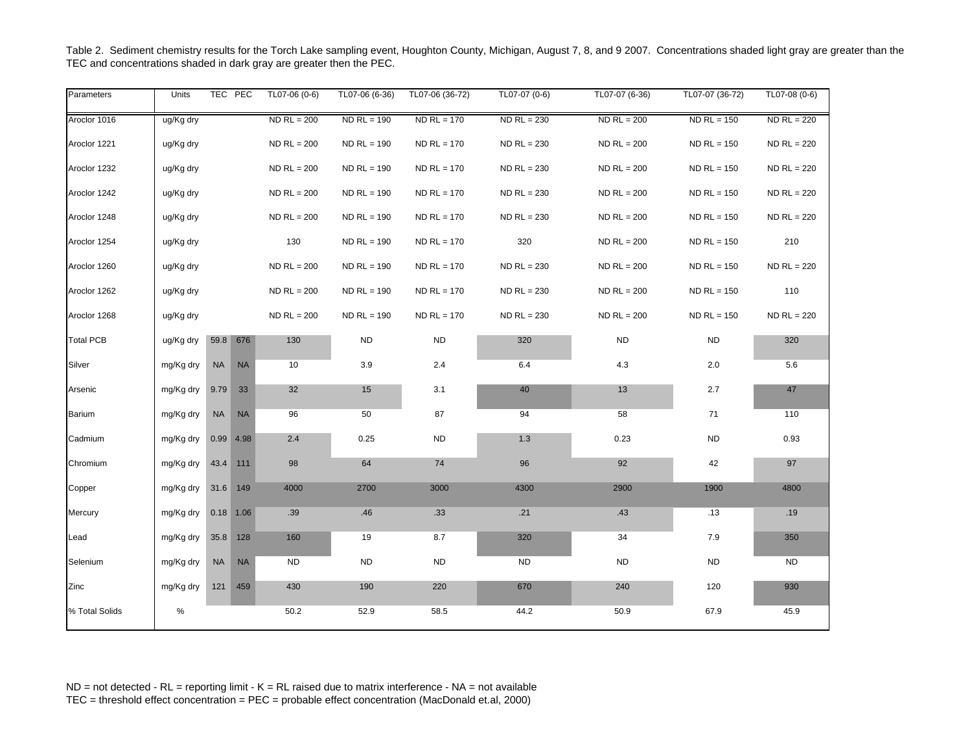| Parameters       | Units     |           | TEC PEC     | TL07-06 (0-6) | TL07-06 (6-36) | TL07-06 (36-72) | TL07-07 (0-6) | TL07-07 (6-36) | TL07-07 (36-72) | TL07-08 (0-6) |
|------------------|-----------|-----------|-------------|---------------|----------------|-----------------|---------------|----------------|-----------------|---------------|
| Aroclor 1016     | ug/Kg dry |           |             | $ND$ RL = 200 | $NDRL = 190$   | $ND$ RL = 170   | $ND$ RL = 230 | $ND$ RL = 200  | $ND$ RL = 150   | $ND$ RL = 220 |
| Aroclor 1221     | ug/Kg dry |           |             | $ND$ RL = 200 | $ND$ RL = 190  | $NDRL = 170$    | $ND$ RL = 230 | $ND$ RL = 200  | $ND$ RL = 150   | $ND$ RL = 220 |
| Aroclor 1232     | ug/Kg dry |           |             | $ND$ RL = 200 | $ND$ RL = 190  | $ND$ RL = 170   | $ND$ RL = 230 | $ND$ RL = 200  | $ND$ RL = 150   | $ND$ RL = 220 |
| Aroclor 1242     | ug/Kg dry |           |             | $ND$ RL = 200 | $ND$ RL = 190  | $ND$ RL = 170   | $ND$ RL = 230 | $ND$ RL = 200  | $ND$ RL = 150   | $ND$ RL = 220 |
| Aroclor 1248     | ug/Kg dry |           |             | $ND$ RL = 200 | $ND$ RL = 190  | $ND$ RL = 170   | $ND$ RL = 230 | $ND$ RL = 200  | $ND$ RL = 150   | $ND$ RL = 220 |
| Aroclor 1254     | ug/Kg dry |           |             | 130           | $ND$ RL = 190  | $ND$ RL = 170   | 320           | $ND$ RL = 200  | $ND$ RL = 150   | 210           |
| Aroclor 1260     | ug/Kg dry |           |             | $ND$ RL = 200 | $NDRL = 190$   | $ND$ RL = 170   | $ND$ RL = 230 | $ND$ RL = 200  | $ND$ RL = 150   | $ND$ RL = 220 |
| Aroclor 1262     | ug/Kg dry |           |             | $ND$ RL = 200 | $ND$ RL = 190  | $ND$ RL = 170   | $ND$ RL = 230 | $ND$ RL = 200  | $ND$ RL = 150   | 110           |
| Aroclor 1268     | ug/Kg dry |           |             | $ND$ RL = 200 | $ND$ RL = 190  | $ND$ RL = 170   | $ND$ RL = 230 | $ND$ RL = 200  | $ND$ RL = 150   | $ND$ RL = 220 |
| <b>Total PCB</b> | ug/Kg dry | 59.8      | 676         | 130           | <b>ND</b>      | <b>ND</b>       | 320           | <b>ND</b>      | <b>ND</b>       | 320           |
| Silver           | mg/Kg dry | <b>NA</b> | <b>NA</b>   | 10            | 3.9            | 2.4             | 6.4           | 4.3            | 2.0             | $5.6\,$       |
| Arsenic          | mg/Kg dry | 9.79      | 33          | 32            | 15             | 3.1             | 40            | 13             | 2.7             | 47            |
| Barium           | mg/Kg dry | <b>NA</b> | <b>NA</b>   | 96            | 50             | 87              | 94            | 58             | 71              | 110           |
| Cadmium          | mg/Kg dry |           | $0.99$ 4.98 | 2.4           | 0.25           | <b>ND</b>       | 1.3           | 0.23           | <b>ND</b>       | 0.93          |
| Chromium         | mg/Kg dry |           | 43.4 111    | 98            | 64             | 74              | 96            | 92             | 42              | 97            |
| Copper           | mg/Kg dry |           | 31.6 149    | 4000          | 2700           | 3000            | 4300          | 2900           | 1900            | 4800          |
| Mercury          | mg/Kg dry |           | $0.18$ 1.06 | .39           | .46            | .33             | .21           | .43            | .13             | .19           |
| Lead             | mg/Kg dry | 35.8      | 128         | 160           | 19             | 8.7             | 320           | 34             | 7.9             | 350           |
| Selenium         | mg/Kg dry | <b>NA</b> | <b>NA</b>   | <b>ND</b>     | <b>ND</b>      | <b>ND</b>       | <b>ND</b>     | <b>ND</b>      | <b>ND</b>       | <b>ND</b>     |
| Zinc             | mg/Kg dry | 121       | 459         | 430           | 190            | 220             | 670           | 240            | 120             | 930           |
| % Total Solids   | %         |           |             | 50.2          | 52.9           | 58.5            | 44.2          | 50.9           | 67.9            | 45.9          |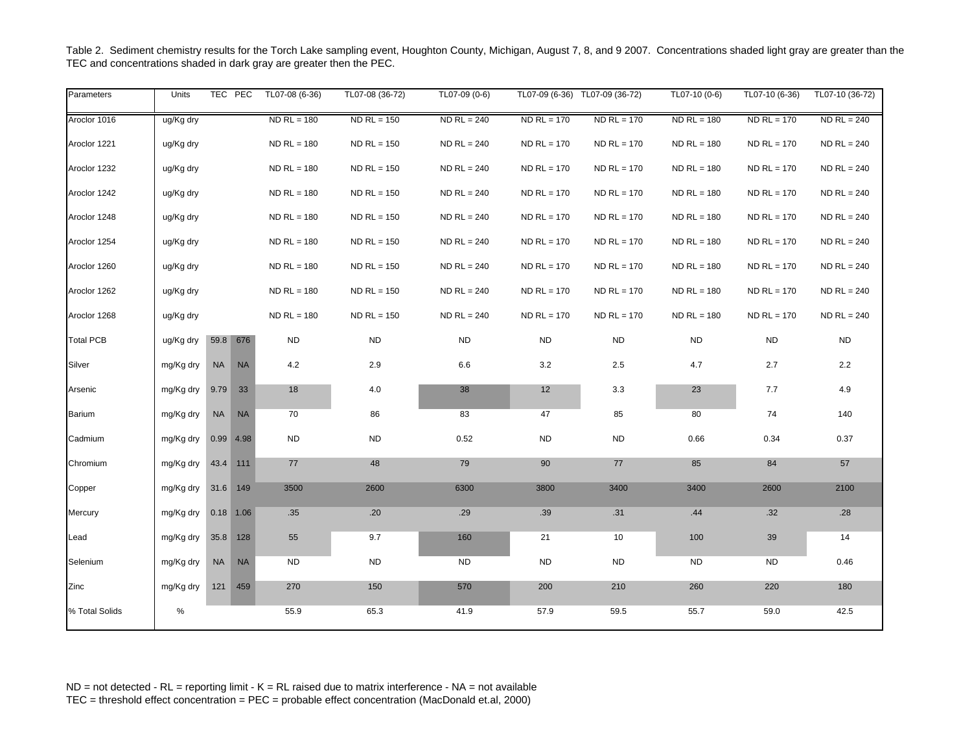| Parameters       | Units     |           | TEC PEC     | TL07-08 (6-36) | TL07-08 (36-72) | TL07-09 (0-6) |               | TL07-09 (6-36) TL07-09 (36-72) | TL07-10 (0-6) | TL07-10 (6-36) | TL07-10 (36-72) |
|------------------|-----------|-----------|-------------|----------------|-----------------|---------------|---------------|--------------------------------|---------------|----------------|-----------------|
| Aroclor 1016     | ug/Kg dry |           |             | $ND$ RL = 180  | $ND$ RL = 150   | $ND$ RL = 240 | $ND$ RL = 170 | $ND$ RL = 170                  | $ND$ RL = 180 | $ND$ RL = 170  | $NDRL = 240$    |
| Aroclor 1221     | ug/Kg dry |           |             | $ND$ RL = 180  | $ND$ RL = 150   | $ND$ RL = 240 | $ND$ RL = 170 | $ND$ RL = 170                  | $ND$ RL = 180 | $ND$ RL = 170  | $ND$ RL = 240   |
| Aroclor 1232     | ug/Kg dry |           |             | $ND$ RL = 180  | $ND$ RL = 150   | $ND$ RL = 240 | $ND$ RL = 170 | $ND$ RL = 170                  | $ND$ RL = 180 | $ND$ RL = 170  | $ND$ RL = 240   |
| Aroclor 1242     | ug/Kg dry |           |             | $ND$ RL = 180  | $ND$ RL = 150   | $ND$ RL = 240 | $ND$ RL = 170 | $ND$ RL = 170                  | $ND$ RL = 180 | $ND$ RL = 170  | $ND$ RL = 240   |
| Aroclor 1248     | ug/Kg dry |           |             | $ND$ RL = 180  | $ND$ RL = 150   | $ND$ RL = 240 | $ND$ RL = 170 | $ND$ RL = 170                  | $NDRL = 180$  | $ND$ RL = 170  | $ND$ RL = 240   |
| Aroclor 1254     | ug/Kg dry |           |             | $ND$ RL = 180  | $ND$ RL = 150   | $ND$ RL = 240 | $ND$ RL = 170 | $ND$ RL = 170                  | $NDRL = 180$  | $ND$ RL = 170  | $ND$ RL = 240   |
| Aroclor 1260     | ug/Kg dry |           |             | $ND$ RL = 180  | $ND$ RL = 150   | $ND$ RL = 240 | $ND$ RL = 170 | $ND$ RL = 170                  | $NDRL = 180$  | $ND$ RL = 170  | $ND$ RL = 240   |
| Aroclor 1262     | ug/Kg dry |           |             | $ND$ RL = 180  | $ND$ RL = 150   | $ND$ RL = 240 | $ND$ RL = 170 | $ND$ RL = 170                  | $NDRL = 180$  | $ND$ RL = 170  | $ND$ RL = 240   |
| Aroclor 1268     | ug/Kg dry |           |             | $ND$ RL = 180  | $ND$ RL = 150   | $ND$ RL = 240 | $ND$ RL = 170 | $ND$ RL = 170                  | $ND RL = 180$ | $ND$ RL = 170  | $ND$ RL = 240   |
| <b>Total PCB</b> | ug/Kg dry | 59.8      | 676         | <b>ND</b>      | <b>ND</b>       | <b>ND</b>     | <b>ND</b>     | <b>ND</b>                      | <b>ND</b>     | <b>ND</b>      | <b>ND</b>       |
| Silver           | mg/Kg dry | <b>NA</b> | <b>NA</b>   | 4.2            | 2.9             | 6.6           | 3.2           | 2.5                            | 4.7           | 2.7            | $2.2\,$         |
| Arsenic          | mg/Kg dry | 9.79      | 33          | 18             | 4.0             | 38            | 12            | 3.3                            | 23            | 7.7            | 4.9             |
| <b>Barium</b>    | mg/Kg dry | NA        | <b>NA</b>   | 70             | 86              | 83            | 47            | 85                             | 80            | 74             | 140             |
| Cadmium          | mg/Kg dry | 0.99      | 4.98        | <b>ND</b>      | <b>ND</b>       | 0.52          | <b>ND</b>     | <b>ND</b>                      | 0.66          | 0.34           | 0.37            |
| Chromium         | mg/Kg dry | 43.4 111  |             | 77             | 48              | 79            | 90            | 77                             | 85            | 84             | 57              |
| Copper           | mg/Kg dry | 31.6 149  |             | 3500           | 2600            | 6300          | 3800          | 3400                           | 3400          | 2600           | 2100            |
| Mercury          | mg/Kg dry |           | $0.18$ 1.06 | .35            | .20             | .29           | .39           | .31                            | .44           | .32            | .28             |
| Lead             | mg/Kg dry | 35.8      | 128         | 55             | 9.7             | 160           | 21            | 10                             | 100           | 39             | 14              |
| Selenium         | mg/Kg dry | <b>NA</b> | <b>NA</b>   | <b>ND</b>      | <b>ND</b>       | <b>ND</b>     | <b>ND</b>     | <b>ND</b>                      | <b>ND</b>     | <b>ND</b>      | 0.46            |
| Zinc             | mg/Kg dry |           | 121 459     | 270            | 150             | 570           | 200           | 210                            | 260           | 220            | 180             |
| % Total Solids   | %         |           |             | 55.9           | 65.3            | 41.9          | 57.9          | 59.5                           | 55.7          | 59.0           | 42.5            |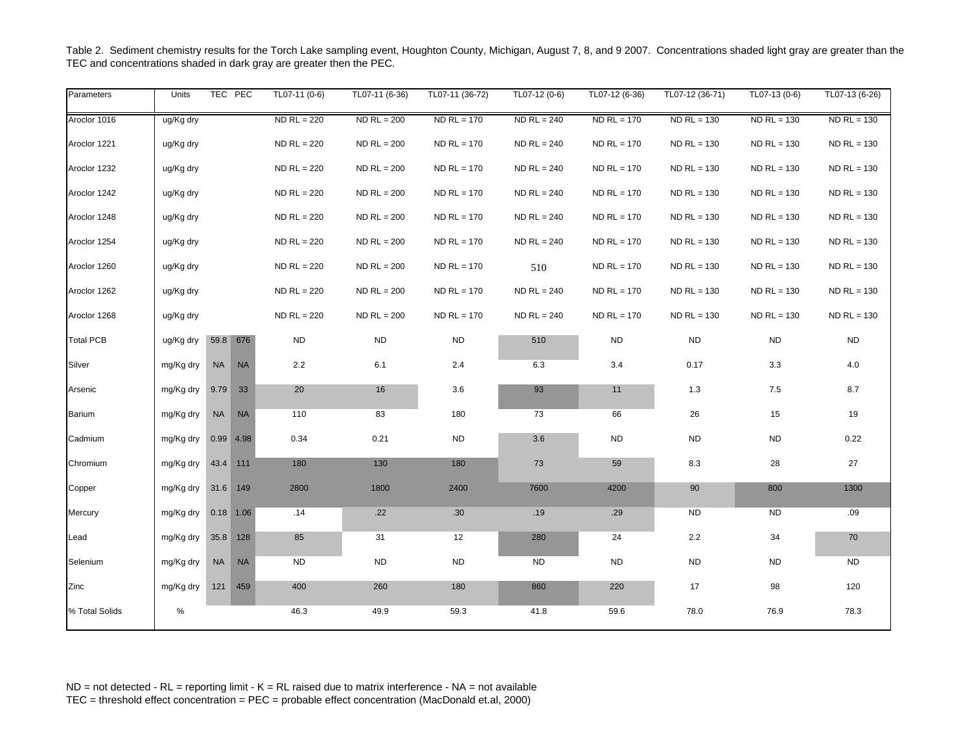| Parameters       | Units     | TEC PEC     |             | TL07-11 (0-6) | TL07-11 (6-36) | TL07-11 (36-72) | TL07-12 (0-6) | TL07-12 (6-36) | TL07-12 (36-71) | TL07-13 (0-6) | TL07-13 (6-26) |
|------------------|-----------|-------------|-------------|---------------|----------------|-----------------|---------------|----------------|-----------------|---------------|----------------|
| Aroclor 1016     | ug/Kg dry |             |             | $ND$ RL = 220 | $ND$ RL = 200  | $ND$ RL = 170   | $ND$ RL = 240 | $ND$ RL = 170  | $ND$ RL = 130   | $ND$ RL = 130 | $ND$ RL = 130  |
| Aroclor 1221     | ug/Kg dry |             |             | $ND$ RL = 220 | $ND$ RL = 200  | $ND$ RL = 170   | $ND$ RL = 240 | $ND$ RL = 170  | $ND$ RL = 130   | $ND$ RL = 130 | $ND$ RL = 130  |
| Aroclor 1232     | ug/Kg dry |             |             | $ND$ RL = 220 | $ND$ RL = 200  | $ND$ RL = 170   | $ND$ RL = 240 | $ND$ RL = 170  | $ND$ RL = 130   | $ND$ RL = 130 | $ND$ RL = 130  |
| Aroclor 1242     | ug/Kg dry |             |             | $ND$ RL = 220 | $ND$ RL = 200  | $ND$ RL = 170   | $ND$ RL = 240 | $ND$ RL = 170  | $ND$ RL = 130   | $ND$ RL = 130 | $ND$ RL = 130  |
| Aroclor 1248     | ug/Kg dry |             |             | $ND$ RL = 220 | $ND$ RL = 200  | $ND$ RL = 170   | $ND$ RL = 240 | $ND$ RL = 170  | $ND$ RL = 130   | $ND$ RL = 130 | $ND$ RL = 130  |
| Aroclor 1254     | ug/Kg dry |             |             | $ND$ RL = 220 | $ND$ RL = 200  | $ND$ RL = 170   | $ND$ RL = 240 | $ND$ RL = 170  | $ND$ RL = 130   | $ND$ RL = 130 | $ND$ RL = 130  |
| Aroclor 1260     | ug/Kg dry |             |             | $ND$ RL = 220 | $ND$ RL = 200  | $ND$ RL = 170   | 510           | $ND$ RL = 170  | $ND$ RL = 130   | $ND$ RL = 130 | $ND$ RL = 130  |
| Aroclor 1262     | ug/Kg dry |             |             | $ND$ RL = 220 | $ND$ RL = 200  | $ND$ RL = 170   | $ND$ RL = 240 | $ND$ RL = 170  | $ND$ RL = 130   | $ND$ RL = 130 | $ND$ RL = 130  |
| Aroclor 1268     | ug/Kg dry |             |             | $ND$ RL = 220 | $ND$ RL = 200  | $ND$ RL = 170   | $ND$ RL = 240 | $ND$ RL = 170  | $ND$ RL = 130   | $ND$ RL = 130 | $ND$ RL = 130  |
| <b>Total PCB</b> | ug/Kg dry | 59.8        | 676         | <b>ND</b>     | <b>ND</b>      | <b>ND</b>       | 510           | <b>ND</b>      | <b>ND</b>       | <b>ND</b>     | <b>ND</b>      |
| Silver           | mg/Kg dry | <b>NA</b>   | <b>NA</b>   | 2.2           | 6.1            | 2.4             | 6.3           | 3.4            | 0.17            | 3.3           | $4.0\,$        |
| Arsenic          | mg/Kg dry | 9.79        | 33          | $20\,$        | 16             | 3.6             | 93            | 11             | 1.3             | 7.5           | $8.7\,$        |
| Barium           | mg/Kg dry | <b>NA</b>   | <b>NA</b>   | 110           | 83             | 180             | 73            | 66             | 26              | 15            | 19             |
| Cadmium          | mg/Kg dry |             | $0.99$ 4.98 | 0.34          | 0.21           | <b>ND</b>       | 3.6           | <b>ND</b>      | <b>ND</b>       | <b>ND</b>     | 0.22           |
| Chromium         | mg/Kg dry | 43.4 111    |             | 180           | 130            | 180             | 73            | 59             | 8.3             | 28            | 27             |
| Copper           | mg/Kg dry | 31.6 149    |             | 2800          | 1800           | 2400            | 7600          | 4200           | 90              | 800           | 1300           |
| Mercury          | mg/Kg dry | $0.18$ 1.06 |             | .14           | .22            | .30             | .19           | .29            | <b>ND</b>       | <b>ND</b>     | .09            |
| Lead             | mg/Kg dry |             | 35.8 128    | 85            | 31             | 12              | 280           | 24             | 2.2             | 34            | 70             |
| Selenium         | mg/Kg dry | <b>NA</b>   | <b>NA</b>   | <b>ND</b>     | <b>ND</b>      | <b>ND</b>       | <b>ND</b>     | <b>ND</b>      | <b>ND</b>       | <b>ND</b>     | <b>ND</b>      |
| Zinc             | mg/Kg dry |             | 121 459     | 400           | 260            | 180             | 860           | 220            | 17              | 98            | 120            |
| % Total Solids   | %         |             |             | 46.3          | 49.9           | 59.3            | 41.8          | 59.6           | 78.0            | 76.9          | 78.3           |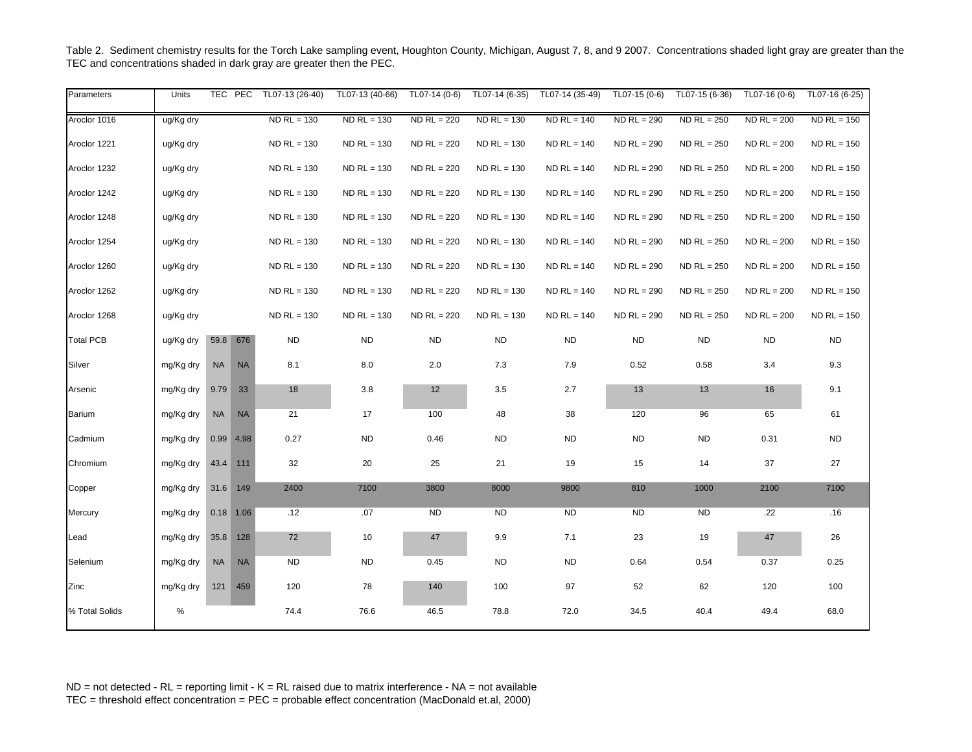| Parameters       | Units     |           | TEC PEC     | TL07-13 (26-40) | TL07-13 (40-66) | TL07-14 (0-6) | TL07-14 (6-35) | TL07-14 (35-49) | TL07-15 (0-6) | TL07-15 (6-36) | TL07-16 (0-6) | TL07-16 (6-25) |
|------------------|-----------|-----------|-------------|-----------------|-----------------|---------------|----------------|-----------------|---------------|----------------|---------------|----------------|
| Aroclor 1016     | ug/Kg dry |           |             | $ND$ RL = 130   | $ND$ RL = 130   | $ND$ RL = 220 | $ND$ RL = 130  | $ND$ RL = 140   | $NDRL = 290$  | $ND$ RL = 250  | $ND$ RL = 200 | $ND$ RL = 150  |
| Aroclor 1221     | ug/Kg dry |           |             | $ND$ RL = 130   | $NDRL = 130$    | $ND$ RL = 220 | $ND$ RL = 130  | $ND$ RL = 140   | $ND$ RL = 290 | $ND$ RL = 250  | $ND$ RL = 200 | $ND$ RL = 150  |
| Aroclor 1232     | ug/Kg dry |           |             | $ND$ RL = 130   | $NDRL = 130$    | $ND$ RL = 220 | $ND$ RL = 130  | $ND$ RL = 140   | $ND$ RL = 290 | $ND$ RL = 250  | $ND$ RL = 200 | $ND$ RL = 150  |
| Aroclor 1242     | ug/Kg dry |           |             | $ND$ RL = 130   | $NDRL = 130$    | $ND$ RL = 220 | $ND$ RL = 130  | $ND$ RL = 140   | $ND$ RL = 290 | $ND$ RL = 250  | $ND$ RL = 200 | $ND$ RL = 150  |
| Aroclor 1248     | ug/Kg dry |           |             | $ND$ RL = 130   | $ND$ RL = 130   | $ND$ RL = 220 | $ND$ RL = 130  | $ND$ RL = 140   | $ND$ RL = 290 | $ND$ RL = 250  | $ND$ RL = 200 | $ND$ RL = 150  |
| Aroclor 1254     | ug/Kg dry |           |             | $ND$ RL = 130   | $NDRL = 130$    | $ND$ RL = 220 | $ND$ RL = 130  | $ND$ RL = 140   | $ND$ RL = 290 | $ND$ RL = 250  | $ND$ RL = 200 | $ND$ RL = 150  |
| Aroclor 1260     | ug/Kg dry |           |             | $ND$ RL = 130   | $NDRL = 130$    | $ND$ RL = 220 | $ND$ RL = 130  | $ND$ RL = 140   | $ND$ RL = 290 | $ND$ RL = 250  | $ND$ RL = 200 | $ND$ RL = 150  |
| Aroclor 1262     | ug/Kg dry |           |             | $ND$ RL = 130   | $ND$ RL = 130   | $ND$ RL = 220 | $ND$ RL = 130  | $ND$ RL = 140   | $ND$ RL = 290 | $ND$ RL = 250  | $ND$ RL = 200 | $ND$ RL = 150  |
| Aroclor 1268     | ug/Kg dry |           |             | $ND$ RL = 130   | $ND$ RL = 130   | $ND$ RL = 220 | $ND$ RL = 130  | $ND$ RL = 140   | $ND$ RL = 290 | $ND$ RL = 250  | $ND$ RL = 200 | $ND$ RL = 150  |
| <b>Total PCB</b> | ug/Kg dry |           | 59.8 676    | ND              | ND              | <b>ND</b>     | <b>ND</b>      | <b>ND</b>       | <b>ND</b>     | <b>ND</b>      | <b>ND</b>     | <b>ND</b>      |
| Silver           | mg/Kg dry | <b>NA</b> | <b>NA</b>   | 8.1             | 8.0             | 2.0           | 7.3            | 7.9             | 0.52          | 0.58           | 3.4           | 9.3            |
| Arsenic          | mg/Kg dry | 9.79      | 33          | 18              | 3.8             | 12            | $3.5\,$        | 2.7             | 13            | 13             | 16            | 9.1            |
| Barium           | mg/Kg dry | <b>NA</b> | <b>NA</b>   | 21              | 17              | 100           | 48             | 38              | 120           | 96             | 65            | 61             |
| Cadmium          | mg/Kg dry |           | $0.99$ 4.98 | 0.27            | <b>ND</b>       | 0.46          | <b>ND</b>      | <b>ND</b>       | <b>ND</b>     | <b>ND</b>      | 0.31          | ND             |
| Chromium         | mg/Kg dry | 43.4 111  |             | 32              | 20              | 25            | 21             | 19              | 15            | 14             | 37            | 27             |
| Copper           | mg/Kg dry | 31.6 149  |             | 2400            | 7100            | 3800          | 8000           | 9800            | 810           | 1000           | 2100          | 7100           |
| Mercury          | mg/Kg dry |           | $0.18$ 1.06 | .12             | .07             | <b>ND</b>     | <b>ND</b>      | <b>ND</b>       | <b>ND</b>     | <b>ND</b>      | .22           | .16            |
| Lead             | mg/Kg dry | 35.8 128  |             | 72              | 10              | 47            | 9.9            | 7.1             | 23            | 19             | 47            | 26             |
| Selenium         | mg/Kg dry | <b>NA</b> | <b>NA</b>   | ND              | <b>ND</b>       | 0.45          | ND             | <b>ND</b>       | 0.64          | 0.54           | 0.37          | 0.25           |
| Zinc             | mg/Kg dry |           | 121 459     | 120             | 78              | 140           | 100            | 97              | 52            | 62             | 120           | 100            |
| % Total Solids   | %         |           |             | 74.4            | 76.6            | 46.5          | 78.8           | 72.0            | 34.5          | 40.4           | 49.4          | 68.0           |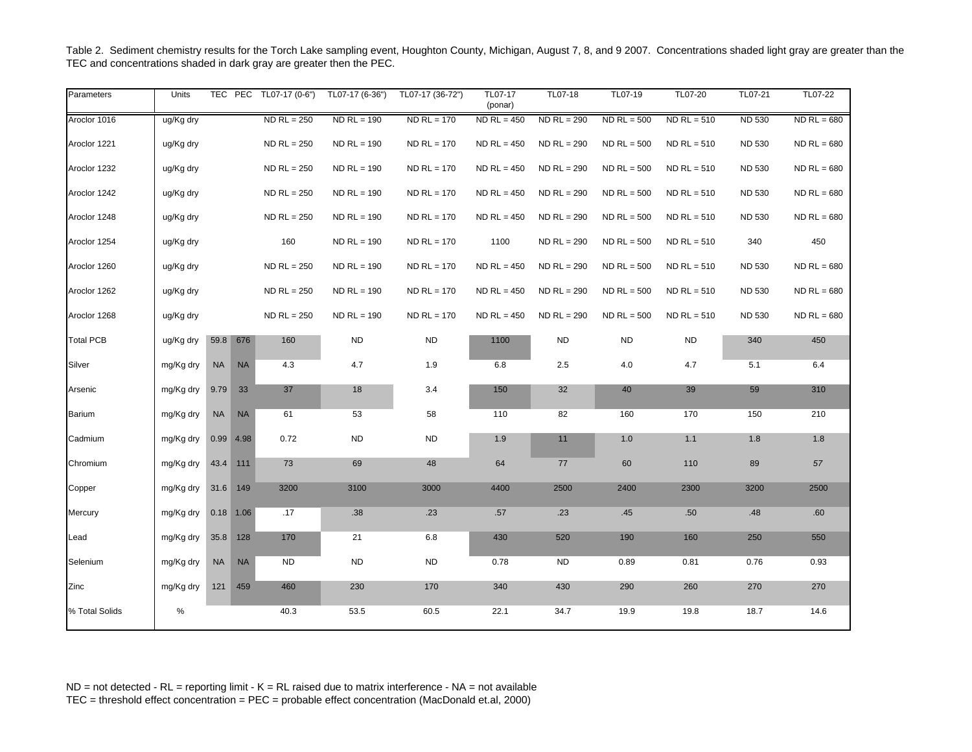| Parameters       | Units     |           | TEC PEC     | TL07-17 (0-6") | TL07-17 (6-36") | TL07-17 (36-72") | TL07-17<br>(ponar) | TL07-18       | TL07-19       | TL07-20       | TL07-21       | TL07-22       |
|------------------|-----------|-----------|-------------|----------------|-----------------|------------------|--------------------|---------------|---------------|---------------|---------------|---------------|
| Aroclor 1016     | ug/Kg dry |           |             | $ND$ RL = 250  | $ND$ RL = 190   | $ND$ RL = 170    | $ND$ RL = 450      | $ND$ RL = 290 | $ND$ RL = 500 | $ND$ RL = 510 | <b>ND 530</b> | $ND$ RL = 680 |
| Aroclor 1221     | ug/Kg dry |           |             | $ND$ RL = 250  | $ND$ RL = 190   | $ND$ RL = 170    | $ND$ RL = 450      | $ND$ RL = 290 | $ND$ RL = 500 | $ND$ RL = 510 | <b>ND 530</b> | $ND$ RL = 680 |
| Aroclor 1232     | ug/Kg dry |           |             | $ND$ RL = 250  | $ND$ RL = 190   | $ND$ RL = 170    | $ND$ RL = 450      | $ND$ RL = 290 | $ND$ RL = 500 | $ND$ RL = 510 | <b>ND 530</b> | $ND$ RL = 680 |
| Aroclor 1242     | ug/Kg dry |           |             | $ND$ RL = 250  | $NDRL = 190$    | $ND$ RL = 170    | $ND$ RL = 450      | $ND$ RL = 290 | $ND$ RL = 500 | $ND$ RL = 510 | <b>ND 530</b> | $ND$ RL = 680 |
| Aroclor 1248     | ug/Kg dry |           |             | $ND$ RL = 250  | $ND$ RL = 190   | $ND$ RL = 170    | $ND$ RL = 450      | $ND$ RL = 290 | $ND$ RL = 500 | $ND$ RL = 510 | <b>ND 530</b> | $ND$ RL = 680 |
| Aroclor 1254     | ug/Kg dry |           |             | 160            | $NDRL = 190$    | $ND$ RL = 170    | 1100               | $NDRL = 290$  | $ND$ RL = 500 | $ND$ RL = 510 | 340           | 450           |
| Aroclor 1260     | ug/Kg dry |           |             | $ND$ RL = 250  | $ND$ RL = 190   | $ND$ RL = 170    | $ND$ RL = 450      | $ND$ RL = 290 | $ND$ RL = 500 | $ND$ RL = 510 | <b>ND 530</b> | $ND$ RL = 680 |
| Aroclor 1262     | ug/Kg dry |           |             | $ND$ RL = 250  | $NDRL = 190$    | $ND$ RL = 170    | $ND$ RL = 450      | $ND$ RL = 290 | $ND$ RL = 500 | $ND$ RL = 510 | <b>ND 530</b> | $ND$ RL = 680 |
| Aroclor 1268     | ug/Kg dry |           |             | $ND$ RL = 250  | $NDRL = 190$    | $ND$ RL = 170    | $ND$ RL = 450      | $ND$ RL = 290 | $ND$ RL = 500 | $ND$ RL = 510 | <b>ND 530</b> | $ND$ RL = 680 |
| <b>Total PCB</b> | ug/Kg dry | 59.8      | 676         | 160            | <b>ND</b>       | <b>ND</b>        | 1100               | <b>ND</b>     | <b>ND</b>     | <b>ND</b>     | 340           | 450           |
| Silver           | mg/Kg dry | <b>NA</b> | <b>NA</b>   | 4.3            | 4.7             | 1.9              | 6.8                | 2.5           | $4.0\,$       | 4.7           | 5.1           | 6.4           |
| Arsenic          | mg/Kg dry | 9.79      | 33          | 37             | 18              | 3.4              | 150                | 32            | 40            | 39            | 59            | 310           |
| Barium           | mg/Kg dry | <b>NA</b> | <b>NA</b>   | 61             | 53              | 58               | 110                | 82            | 160           | 170           | 150           | 210           |
| Cadmium          | mg/Kg dry | 0.99      | 4.98        | 0.72           | <b>ND</b>       | ND               | 1.9                | 11            | $1.0$         | 1.1           | 1.8           | 1.8           |
| Chromium         | mg/Kg dry | 43.4 111  |             | 73             | 69              | 48               | 64                 | 77            | 60            | 110           | 89            | 57            |
| Copper           | mg/Kg dry | 31.6      | 149         | 3200           | 3100            | 3000             | 4400               | 2500          | 2400          | 2300          | 3200          | 2500          |
| Mercury          | mg/Kg dry |           | $0.18$ 1.06 | .17            | .38             | .23              | .57                | .23           | .45           | .50           | .48           | .60           |
| Lead             | mg/Kg dry | 35.8      | 128         | 170            | 21              | 6.8              | 430                | 520           | 190           | 160           | 250           | 550           |
| Selenium         | mg/Kg dry | <b>NA</b> | <b>NA</b>   | <b>ND</b>      | <b>ND</b>       | <b>ND</b>        | 0.78               | ND            | 0.89          | 0.81          | 0.76          | 0.93          |
| Zinc             | mg/Kg dry | 121       | 459         | 460            | 230             | 170              | 340                | 430           | 290           | 260           | 270           | 270           |
| % Total Solids   | %         |           |             | 40.3           | 53.5            | 60.5             | 22.1               | 34.7          | 19.9          | 19.8          | 18.7          | 14.6          |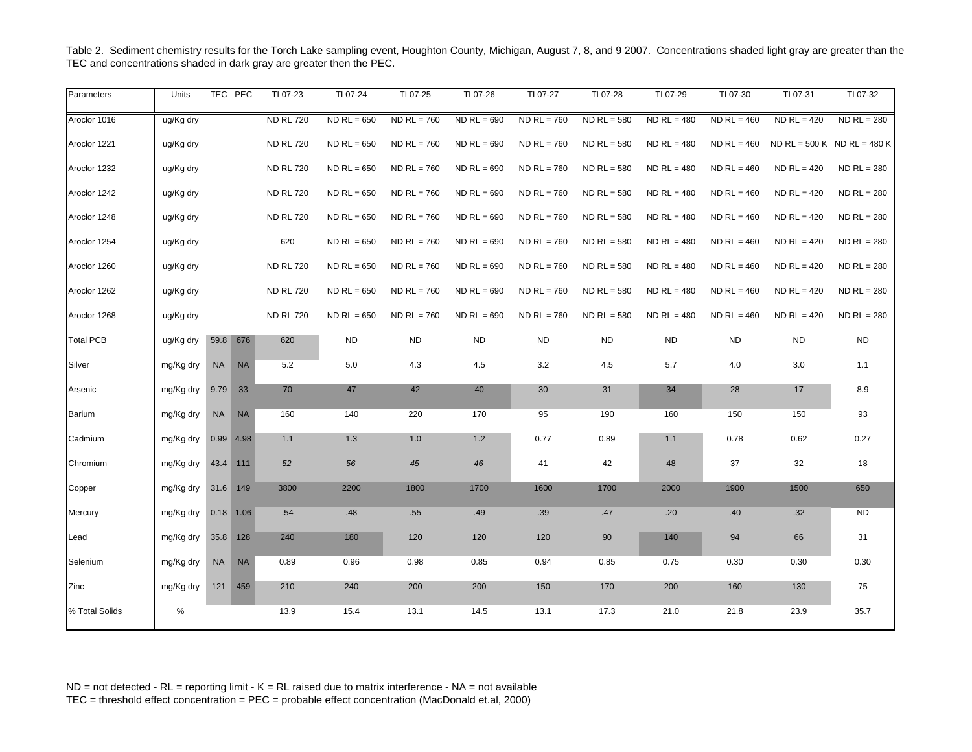| Parameters       | <b>Units</b> |             | TEC PEC   | TL07-23          | TL07-24       | TL07-25       | TL07-26       | TL07-27       | TL07-28       | TL07-29       | TL07-30       | TL07-31       | TL07-32                       |
|------------------|--------------|-------------|-----------|------------------|---------------|---------------|---------------|---------------|---------------|---------------|---------------|---------------|-------------------------------|
| Aroclor 1016     | ug/Kg dry    |             |           | <b>ND RL 720</b> | $ND$ RL = 650 | $ND$ RL = 760 | $ND$ RL = 690 | $ND$ RL = 760 | $ND$ RL = 580 | $NDRL = 480$  | $ND$ RL = 460 | $ND$ RL = 420 | $ND$ RL = 280                 |
| Aroclor 1221     | ug/Kg dry    |             |           | <b>ND RL 720</b> | $ND$ RL = 650 | $ND$ RL = 760 | $ND$ RL = 690 | $ND$ RL = 760 | $ND$ RL = 580 | $ND$ RL = 480 | $ND$ RL = 460 |               | $ND$ RL = 500 K ND RL = 480 K |
| Aroclor 1232     | ug/Kg dry    |             |           | <b>ND RL 720</b> | $ND$ RL = 650 | $ND$ RL = 760 | $ND$ RL = 690 | $ND$ RL = 760 | $ND$ RL = 580 | $NDRL = 480$  | $ND$ RL = 460 | $ND$ RL = 420 | $ND$ RL = 280                 |
| Aroclor 1242     | ug/Kg dry    |             |           | <b>ND RL 720</b> | $ND$ RL = 650 | $ND$ RL = 760 | $ND$ RL = 690 | $ND$ RL = 760 | $ND$ RL = 580 | $ND$ RL = 480 | $ND$ RL = 460 | $ND$ RL = 420 | $ND$ RL = 280                 |
| Aroclor 1248     | ug/Kg dry    |             |           | <b>ND RL 720</b> | $ND$ RL = 650 | $ND$ RL = 760 | $ND$ RL = 690 | $ND$ RL = 760 | $ND$ RL = 580 | $ND$ RL = 480 | $ND$ RL = 460 | $ND$ RL = 420 | $ND$ RL = 280                 |
| Aroclor 1254     | ug/Kg dry    |             |           | 620              | $ND$ RL = 650 | $ND$ RL = 760 | $ND$ RL = 690 | $ND$ RL = 760 | $ND$ RL = 580 | $ND RL = 480$ | $ND$ RL = 460 | $ND$ RL = 420 | $ND$ RL = 280                 |
| Aroclor 1260     | ug/Kg dry    |             |           | <b>ND RL 720</b> | $ND$ RL = 650 | $ND$ RL = 760 | $ND$ RL = 690 | $ND$ RL = 760 | $ND$ RL = 580 | $ND$ RL = 480 | $ND$ RL = 460 | $ND$ RL = 420 | $ND$ RL = 280                 |
| Aroclor 1262     | ug/Kg dry    |             |           | <b>ND RL 720</b> | $ND$ RL = 650 | $ND$ RL = 760 | $ND$ RL = 690 | $ND$ RL = 760 | $ND$ RL = 580 | $ND$ RL = 480 | $ND$ RL = 460 | $ND$ RL = 420 | $ND$ RL = 280                 |
| Aroclor 1268     | ug/Kg dry    |             |           | <b>ND RL 720</b> | $ND$ RL = 650 | $ND$ RL = 760 | $ND$ RL = 690 | $ND$ RL = 760 | $ND$ RL = 580 | $ND$ RL = 480 | $ND$ RL = 460 | $ND$ RL = 420 | $ND$ RL = 280                 |
| <b>Total PCB</b> | ug/Kg dry    | 59.8 676    |           | 620              | <b>ND</b>     | <b>ND</b>     | <b>ND</b>     | <b>ND</b>     | <b>ND</b>     | <b>ND</b>     | <b>ND</b>     | <b>ND</b>     | <b>ND</b>                     |
| Silver           | mg/Kg dry    | <b>NA</b>   | <b>NA</b> | 5.2              | 5.0           | 4.3           | $4.5\,$       | 3.2           | $4.5\,$       | 5.7           | 4.0           | $3.0\,$       | 1.1                           |
| Arsenic          | mg/Kg dry    | 9.79        | 33        | 70               | 47            | 42            | 40            | 30            | 31            | 34            | 28            | 17            | 8.9                           |
| <b>Barium</b>    | mg/Kg dry    | <b>NA</b>   | <b>NA</b> | 160              | 140           | 220           | 170           | 95            | 190           | 160           | 150           | 150           | 93                            |
| Cadmium          | mg/Kg dry    | $0.99$ 4.98 |           | 1.1              | 1.3           | 1.0           | $1.2$         | 0.77          | 0.89          | 1.1           | 0.78          | 0.62          | 0.27                          |
| Chromium         | mg/Kg dry    | 43.4 111    |           | 52               | 56            | 45            | 46            | 41            | 42            | 48            | 37            | 32            | 18                            |
| Copper           | mg/Kg dry    | 31.6 149    |           | 3800             | 2200          | 1800          | 1700          | 1600          | 1700          | 2000          | 1900          | 1500          | 650                           |
| Mercury          | mg/Kg dry    | $0.18$ 1.06 |           | .54              | .48           | .55           | .49           | .39           | .47           | .20           | .40           | .32           | <b>ND</b>                     |
| Lead             | mg/Kg dry    | 35.8        | 128       | 240              | 180           | 120           | 120           | 120           | 90            | 140           | 94            | 66            | 31                            |
| Selenium         | mg/Kg dry    | <b>NA</b>   | <b>NA</b> | 0.89             | 0.96          | 0.98          | 0.85          | 0.94          | 0.85          | 0.75          | 0.30          | 0.30          | 0.30                          |
| Zinc             | mg/Kg dry    |             | 121 459   | 210              | 240           | 200           | 200           | 150           | 170           | 200           | 160           | 130           | 75                            |
| % Total Solids   | $\%$         |             |           | 13.9             | 15.4          | 13.1          | 14.5          | 13.1          | 17.3          | 21.0          | 21.8          | 23.9          | 35.7                          |